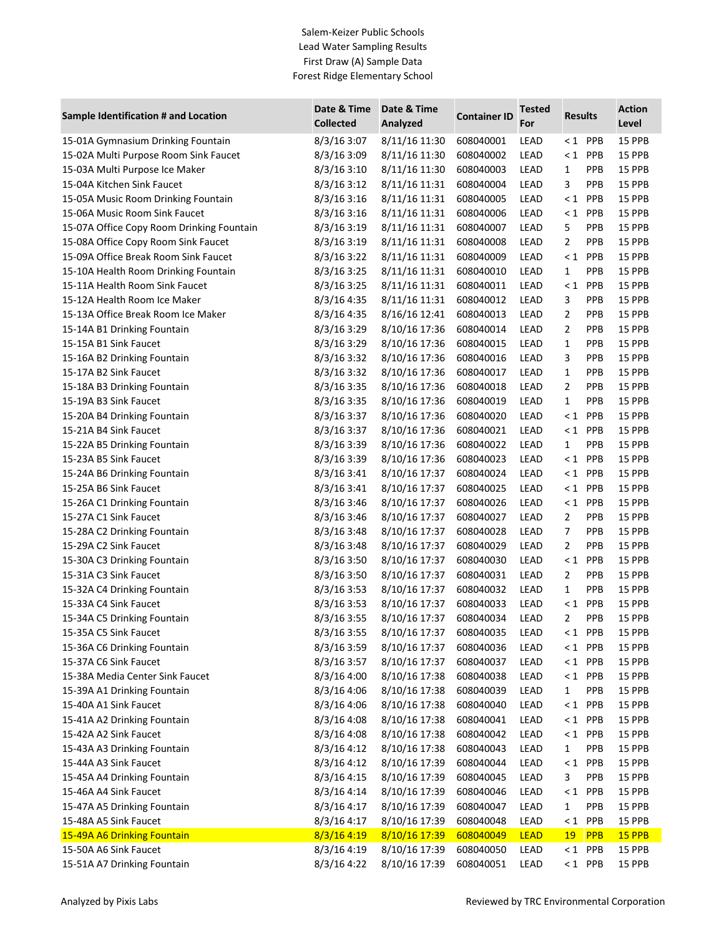## Salem-Keizer Public Schools Lead Water Sampling Results First Draw (A) Sample Data Forest Ridge Elementary School

| <b>Results</b><br><b>Collected</b><br>Analyzed<br>Level<br>For<br>8/3/16 3:07<br>8/11/16 11:30<br>$< 1$ PPB<br>15 PPB<br>15-01A Gymnasium Drinking Fountain<br>608040001<br>LEAD<br>15-02A Multi Purpose Room Sink Faucet<br>8/3/163:09<br>8/11/16 11:30<br>LEAD<br>$< 1$ PPB<br>15 PPB<br>608040002<br>8/3/16 3:10<br>8/11/16 11:30<br>PPB<br>15-03A Multi Purpose Ice Maker<br>608040003<br>LEAD<br>$\mathbf{1}$<br>15 PPB<br>15-04A Kitchen Sink Faucet<br>8/3/163:12<br>8/11/16 11:31<br>3<br>PPB<br>608040004<br>LEAD<br>15 PPB<br>15-05A Music Room Drinking Fountain<br>8/3/16 3:16<br>8/11/16 11:31<br>$\leq 1$<br>PPB<br>608040005<br>LEAD<br>15 PPB<br>8/3/163:16<br>8/11/16 11:31<br>$< 1$ PPB<br>15-06A Music Room Sink Faucet<br>608040006<br>LEAD<br>15 PPB<br>15-07A Office Copy Room Drinking Fountain<br>8/3/16 3:19<br>5<br>PPB<br>8/11/16 11:31<br>608040007<br>LEAD<br>15 PPB<br>$\overline{2}$<br>15-08A Office Copy Room Sink Faucet<br>8/3/16 3:19<br>8/11/16 11:31<br>PPB<br>608040008<br>LEAD<br>15 PPB<br>15-09A Office Break Room Sink Faucet<br>PPB<br>8/3/16 3:22<br>8/11/16 11:31<br>608040009<br>LEAD<br>$\leq 1$<br>15 PPB<br>15-10A Health Room Drinking Fountain<br>8/3/16 3:25<br>8/11/16 11:31<br>LEAD<br>PPB<br>608040010<br>$\mathbf{1}$<br>15 PPB<br>15-11A Health Room Sink Faucet<br>8/3/16 3:25<br>8/11/16 11:31<br>$\leq 1$<br>PPB<br>608040011<br>LEAD<br>15 PPB<br>15-12A Health Room Ice Maker<br>8/3/16 4:35<br>8/11/16 11:31<br>LEAD<br>3<br>PPB<br>608040012<br>15 PPB<br>15-13A Office Break Room Ice Maker<br>8/3/16 4:35<br>8/16/16 12:41<br>2<br>PPB<br>608040013<br>LEAD<br>15 PPB<br>8/3/16 3:29<br>8/10/16 17:36<br>2<br>PPB<br>15-14A B1 Drinking Fountain<br>608040014<br>LEAD<br>15 PPB<br>15-15A B1 Sink Faucet<br>$\mathbf{1}$<br>PPB<br>$8/3/16$ 3:29<br>8/10/16 17:36<br>608040015<br>LEAD<br>15 PPB<br>15-16A B2 Drinking Fountain<br>8/3/16 3:32<br>3<br>PPB<br>15 PPB<br>8/10/16 17:36<br>608040016<br>LEAD<br>15-17A B2 Sink Faucet<br>8/3/16 3:32<br>$\mathbf{1}$<br>PPB<br>15 PPB<br>8/10/16 17:36<br>608040017<br>LEAD<br>15-18A B3 Drinking Fountain<br>8/3/16 3:35<br>8/10/16 17:36<br>2<br>PPB<br>15 PPB<br>608040018<br>LEAD<br>15-19A B3 Sink Faucet<br>8/3/16 3:35<br>8/10/16 17:36<br>608040019<br>LEAD<br>$\mathbf{1}$<br>PPB<br>15 PPB<br>15-20A B4 Drinking Fountain<br>8/3/16 3:37<br>8/10/16 17:36<br>PPB<br>15 PPB<br>608040020<br>LEAD<br>$\leq 1$<br>15-21A B4 Sink Faucet<br>8/3/16 3:37<br>8/10/16 17:36<br>$\leq 1$<br>PPB<br>15 PPB<br>608040021<br>LEAD<br>15 PPB<br>15-22A B5 Drinking Fountain<br>8/3/16 3:39<br>8/10/16 17:36<br>608040022<br>LEAD<br>PPB<br>$\mathbf{1}$<br>15-23A B5 Sink Faucet<br>8/3/16 3:39<br>8/10/16 17:36<br>LEAD<br>$\leq 1$<br>PPB<br>15 PPB<br>608040023<br>15-24A B6 Drinking Fountain<br>8/3/16 3:41<br>8/10/16 17:37<br>$\leq 1$<br>PPB<br>15 PPB<br>608040024<br>LEAD<br>PPB<br>15-25A B6 Sink Faucet<br>8/3/16 3:41<br>8/10/16 17:37<br>608040025<br>$\leq 1$<br>15 PPB<br>LEAD<br>8/3/16 3:46<br>8/10/16 17:37<br>$\leq 1$<br>PPB<br>15-26A C1 Drinking Fountain<br>608040026<br>LEAD<br>15 PPB<br>15-27A C1 Sink Faucet<br>8/3/16 3:46<br>8/10/16 17:37<br>2<br>PPB<br>15 PPB<br>608040027<br>LEAD<br>8/3/16 3:48<br>8/10/16 17:37<br>LEAD<br>7<br>PPB<br>15 PPB<br>15-28A C2 Drinking Fountain<br>608040028<br>15-29A C2 Sink Faucet<br>8/3/16 3:48<br>8/10/16 17:37<br>$\overline{2}$<br>PPB<br>608040029<br>LEAD<br>15 PPB<br>8/3/16 3:50<br>8/10/16 17:37<br>$\leq 1$<br>PPB<br>15-30A C3 Drinking Fountain<br>608040030<br>LEAD<br>15 PPB<br>15-31A C3 Sink Faucet<br>8/3/16 3:50<br>8/10/16 17:37<br>2<br>PPB<br>608040031<br>LEAD<br>15 PPB<br>8/3/163:53<br>8/10/16 17:37<br>$\mathbf{1}$<br>PPB<br>15-32A C4 Drinking Fountain<br>608040032<br>LEAD<br>15 PPB<br>15-33A C4 Sink Faucet<br>8/3/163:53<br>8/10/16 17:37<br>LEAD<br>$< 1$ PPB<br>608040033<br>15 PPB<br>8/3/16 3:55<br>8/10/16 17:37<br>$\overline{2}$<br>PPB<br>15-34A C5 Drinking Fountain<br>608040034<br>LEAD<br>15 PPB<br>8/3/16 3:55<br>15-35A C5 Sink Faucet<br>8/10/16 17:37<br>608040035<br>LEAD<br>$< 1$ PPB<br>15 PPB<br>15-36A C6 Drinking Fountain<br>$8/3/16$ 3:59<br>8/10/16 17:37<br>608040036<br>LEAD<br>$< 1$ PPB<br>15 PPB<br>15-37A C6 Sink Faucet<br>8/3/16 3:57<br>8/10/16 17:37<br>$< 1$ PPB<br>608040037<br>LEAD<br>15 PPB<br>8/3/16 4:00<br>8/10/16 17:38<br>15-38A Media Center Sink Faucet<br>608040038<br>LEAD<br>$< 1$ PPB<br>15 PPB<br>8/3/16 4:06<br>8/10/16 17:38<br>15-39A A1 Drinking Fountain<br>608040039<br>LEAD<br>PPB<br>15 PPB<br>1<br>8/10/16 17:38<br>15-40A A1 Sink Faucet<br>$8/3/16$ 4:06<br>608040040<br>LEAD<br>$< 1$ PPB<br><b>15 PPB</b><br>15-41A A2 Drinking Fountain<br>8/3/16 4:08<br>8/10/16 17:38<br>608040041<br>LEAD<br>$< 1$ PPB<br>15 PPB<br>15-42A A2 Sink Faucet<br>8/3/16 4:08<br>8/10/16 17:38<br>$< 1$ PPB<br>608040042<br>LEAD<br>15 PPB<br>15-43A A3 Drinking Fountain<br>8/3/16 4:12<br>8/10/16 17:38<br>PPB<br>608040043<br>LEAD<br>15 PPB<br>1<br>15-44A A3 Sink Faucet<br>8/3/16 4:12<br>8/10/16 17:39<br>608040044<br>LEAD<br>$< 1$ PPB<br>15 PPB<br>15-45A A4 Drinking Fountain<br>8/3/164:15<br>8/10/16 17:39<br>608040045<br>LEAD<br>3<br>PPB<br>15 PPB<br>15-46A A4 Sink Faucet<br>8/3/16 4:14<br>8/10/16 17:39<br>608040046<br>LEAD<br>$< 1$ PPB<br>15 PPB<br>15-47A A5 Drinking Fountain<br>8/3/16 4:17<br>8/10/16 17:39<br>608040047<br>LEAD<br>PPB<br>15 PPB<br>$\mathbf{1}$<br>15-48A A5 Sink Faucet<br>8/3/16 4:17<br>8/10/16 17:39<br>LEAD<br>PPB<br>15 PPB<br>608040048<br>$\leq 1$<br>15-49A A6 Drinking Fountain<br>8/3/16 4:19<br>8/10/16 17:39<br><b>LEAD</b><br><b>PPB</b><br>15 PPB<br>608040049<br><b>19</b><br>15-50A A6 Sink Faucet<br>8/3/16 4:19<br>8/10/16 17:39<br>608040050<br>LEAD<br>$< 1$ PPB<br>15 PPB<br>LEAD<br>$< 1$ PPB |                                      | Date & Time | Date & Time   |                     | <b>Tested</b> |  | <b>Action</b> |
|----------------------------------------------------------------------------------------------------------------------------------------------------------------------------------------------------------------------------------------------------------------------------------------------------------------------------------------------------------------------------------------------------------------------------------------------------------------------------------------------------------------------------------------------------------------------------------------------------------------------------------------------------------------------------------------------------------------------------------------------------------------------------------------------------------------------------------------------------------------------------------------------------------------------------------------------------------------------------------------------------------------------------------------------------------------------------------------------------------------------------------------------------------------------------------------------------------------------------------------------------------------------------------------------------------------------------------------------------------------------------------------------------------------------------------------------------------------------------------------------------------------------------------------------------------------------------------------------------------------------------------------------------------------------------------------------------------------------------------------------------------------------------------------------------------------------------------------------------------------------------------------------------------------------------------------------------------------------------------------------------------------------------------------------------------------------------------------------------------------------------------------------------------------------------------------------------------------------------------------------------------------------------------------------------------------------------------------------------------------------------------------------------------------------------------------------------------------------------------------------------------------------------------------------------------------------------------------------------------------------------------------------------------------------------------------------------------------------------------------------------------------------------------------------------------------------------------------------------------------------------------------------------------------------------------------------------------------------------------------------------------------------------------------------------------------------------------------------------------------------------------------------------------------------------------------------------------------------------------------------------------------------------------------------------------------------------------------------------------------------------------------------------------------------------------------------------------------------------------------------------------------------------------------------------------------------------------------------------------------------------------------------------------------------------------------------------------------------------------------------------------------------------------------------------------------------------------------------------------------------------------------------------------------------------------------------------------------------------------------------------------------------------------------------------------------------------------------------------------------------------------------------------------------------------------------------------------------------------------------------------------------------------------------------------------------------------------------------------------------------------------------------------------------------------------------------------------------------------------------------------------------------------------------------------------------------------------------------------------------------------------------------------------------------------------------------------------------------------------------------------------------------------------------------------------------------------------------------------------------------------------------------------------------------------------------------------------------------------------------------------------------------------------------------------------------------------------------------------------------------------------------------------------------------------------------------------------------------------------------------------------------------------------------------------------------------------------------------------------------------------------------------------------------------------------------------------------------------------------------------------------------------------------------------------------------------------------------------------------------------------------------------------------------------------------------------------------------------------------------------------------------------------------------------------------------------------------------|--------------------------------------|-------------|---------------|---------------------|---------------|--|---------------|
|                                                                                                                                                                                                                                                                                                                                                                                                                                                                                                                                                                                                                                                                                                                                                                                                                                                                                                                                                                                                                                                                                                                                                                                                                                                                                                                                                                                                                                                                                                                                                                                                                                                                                                                                                                                                                                                                                                                                                                                                                                                                                                                                                                                                                                                                                                                                                                                                                                                                                                                                                                                                                                                                                                                                                                                                                                                                                                                                                                                                                                                                                                                                                                                                                                                                                                                                                                                                                                                                                                                                                                                                                                                                                                                                                                                                                                                                                                                                                                                                                                                                                                                                                                                                                                                                                                                                                                                                                                                                                                                                                                                                                                                                                                                                                                                                                                                                                                                                                                                                                                                                                                                                                                                                                                                                                                                                                                                                                                                                                                                                                                                                                                                                                                                                                                                                                                        | Sample Identification # and Location |             |               | <b>Container ID</b> |               |  |               |
|                                                                                                                                                                                                                                                                                                                                                                                                                                                                                                                                                                                                                                                                                                                                                                                                                                                                                                                                                                                                                                                                                                                                                                                                                                                                                                                                                                                                                                                                                                                                                                                                                                                                                                                                                                                                                                                                                                                                                                                                                                                                                                                                                                                                                                                                                                                                                                                                                                                                                                                                                                                                                                                                                                                                                                                                                                                                                                                                                                                                                                                                                                                                                                                                                                                                                                                                                                                                                                                                                                                                                                                                                                                                                                                                                                                                                                                                                                                                                                                                                                                                                                                                                                                                                                                                                                                                                                                                                                                                                                                                                                                                                                                                                                                                                                                                                                                                                                                                                                                                                                                                                                                                                                                                                                                                                                                                                                                                                                                                                                                                                                                                                                                                                                                                                                                                                                        |                                      |             |               |                     |               |  |               |
|                                                                                                                                                                                                                                                                                                                                                                                                                                                                                                                                                                                                                                                                                                                                                                                                                                                                                                                                                                                                                                                                                                                                                                                                                                                                                                                                                                                                                                                                                                                                                                                                                                                                                                                                                                                                                                                                                                                                                                                                                                                                                                                                                                                                                                                                                                                                                                                                                                                                                                                                                                                                                                                                                                                                                                                                                                                                                                                                                                                                                                                                                                                                                                                                                                                                                                                                                                                                                                                                                                                                                                                                                                                                                                                                                                                                                                                                                                                                                                                                                                                                                                                                                                                                                                                                                                                                                                                                                                                                                                                                                                                                                                                                                                                                                                                                                                                                                                                                                                                                                                                                                                                                                                                                                                                                                                                                                                                                                                                                                                                                                                                                                                                                                                                                                                                                                                        |                                      |             |               |                     |               |  |               |
|                                                                                                                                                                                                                                                                                                                                                                                                                                                                                                                                                                                                                                                                                                                                                                                                                                                                                                                                                                                                                                                                                                                                                                                                                                                                                                                                                                                                                                                                                                                                                                                                                                                                                                                                                                                                                                                                                                                                                                                                                                                                                                                                                                                                                                                                                                                                                                                                                                                                                                                                                                                                                                                                                                                                                                                                                                                                                                                                                                                                                                                                                                                                                                                                                                                                                                                                                                                                                                                                                                                                                                                                                                                                                                                                                                                                                                                                                                                                                                                                                                                                                                                                                                                                                                                                                                                                                                                                                                                                                                                                                                                                                                                                                                                                                                                                                                                                                                                                                                                                                                                                                                                                                                                                                                                                                                                                                                                                                                                                                                                                                                                                                                                                                                                                                                                                                                        |                                      |             |               |                     |               |  |               |
|                                                                                                                                                                                                                                                                                                                                                                                                                                                                                                                                                                                                                                                                                                                                                                                                                                                                                                                                                                                                                                                                                                                                                                                                                                                                                                                                                                                                                                                                                                                                                                                                                                                                                                                                                                                                                                                                                                                                                                                                                                                                                                                                                                                                                                                                                                                                                                                                                                                                                                                                                                                                                                                                                                                                                                                                                                                                                                                                                                                                                                                                                                                                                                                                                                                                                                                                                                                                                                                                                                                                                                                                                                                                                                                                                                                                                                                                                                                                                                                                                                                                                                                                                                                                                                                                                                                                                                                                                                                                                                                                                                                                                                                                                                                                                                                                                                                                                                                                                                                                                                                                                                                                                                                                                                                                                                                                                                                                                                                                                                                                                                                                                                                                                                                                                                                                                                        |                                      |             |               |                     |               |  |               |
|                                                                                                                                                                                                                                                                                                                                                                                                                                                                                                                                                                                                                                                                                                                                                                                                                                                                                                                                                                                                                                                                                                                                                                                                                                                                                                                                                                                                                                                                                                                                                                                                                                                                                                                                                                                                                                                                                                                                                                                                                                                                                                                                                                                                                                                                                                                                                                                                                                                                                                                                                                                                                                                                                                                                                                                                                                                                                                                                                                                                                                                                                                                                                                                                                                                                                                                                                                                                                                                                                                                                                                                                                                                                                                                                                                                                                                                                                                                                                                                                                                                                                                                                                                                                                                                                                                                                                                                                                                                                                                                                                                                                                                                                                                                                                                                                                                                                                                                                                                                                                                                                                                                                                                                                                                                                                                                                                                                                                                                                                                                                                                                                                                                                                                                                                                                                                                        |                                      |             |               |                     |               |  |               |
|                                                                                                                                                                                                                                                                                                                                                                                                                                                                                                                                                                                                                                                                                                                                                                                                                                                                                                                                                                                                                                                                                                                                                                                                                                                                                                                                                                                                                                                                                                                                                                                                                                                                                                                                                                                                                                                                                                                                                                                                                                                                                                                                                                                                                                                                                                                                                                                                                                                                                                                                                                                                                                                                                                                                                                                                                                                                                                                                                                                                                                                                                                                                                                                                                                                                                                                                                                                                                                                                                                                                                                                                                                                                                                                                                                                                                                                                                                                                                                                                                                                                                                                                                                                                                                                                                                                                                                                                                                                                                                                                                                                                                                                                                                                                                                                                                                                                                                                                                                                                                                                                                                                                                                                                                                                                                                                                                                                                                                                                                                                                                                                                                                                                                                                                                                                                                                        |                                      |             |               |                     |               |  |               |
|                                                                                                                                                                                                                                                                                                                                                                                                                                                                                                                                                                                                                                                                                                                                                                                                                                                                                                                                                                                                                                                                                                                                                                                                                                                                                                                                                                                                                                                                                                                                                                                                                                                                                                                                                                                                                                                                                                                                                                                                                                                                                                                                                                                                                                                                                                                                                                                                                                                                                                                                                                                                                                                                                                                                                                                                                                                                                                                                                                                                                                                                                                                                                                                                                                                                                                                                                                                                                                                                                                                                                                                                                                                                                                                                                                                                                                                                                                                                                                                                                                                                                                                                                                                                                                                                                                                                                                                                                                                                                                                                                                                                                                                                                                                                                                                                                                                                                                                                                                                                                                                                                                                                                                                                                                                                                                                                                                                                                                                                                                                                                                                                                                                                                                                                                                                                                                        |                                      |             |               |                     |               |  |               |
|                                                                                                                                                                                                                                                                                                                                                                                                                                                                                                                                                                                                                                                                                                                                                                                                                                                                                                                                                                                                                                                                                                                                                                                                                                                                                                                                                                                                                                                                                                                                                                                                                                                                                                                                                                                                                                                                                                                                                                                                                                                                                                                                                                                                                                                                                                                                                                                                                                                                                                                                                                                                                                                                                                                                                                                                                                                                                                                                                                                                                                                                                                                                                                                                                                                                                                                                                                                                                                                                                                                                                                                                                                                                                                                                                                                                                                                                                                                                                                                                                                                                                                                                                                                                                                                                                                                                                                                                                                                                                                                                                                                                                                                                                                                                                                                                                                                                                                                                                                                                                                                                                                                                                                                                                                                                                                                                                                                                                                                                                                                                                                                                                                                                                                                                                                                                                                        |                                      |             |               |                     |               |  |               |
|                                                                                                                                                                                                                                                                                                                                                                                                                                                                                                                                                                                                                                                                                                                                                                                                                                                                                                                                                                                                                                                                                                                                                                                                                                                                                                                                                                                                                                                                                                                                                                                                                                                                                                                                                                                                                                                                                                                                                                                                                                                                                                                                                                                                                                                                                                                                                                                                                                                                                                                                                                                                                                                                                                                                                                                                                                                                                                                                                                                                                                                                                                                                                                                                                                                                                                                                                                                                                                                                                                                                                                                                                                                                                                                                                                                                                                                                                                                                                                                                                                                                                                                                                                                                                                                                                                                                                                                                                                                                                                                                                                                                                                                                                                                                                                                                                                                                                                                                                                                                                                                                                                                                                                                                                                                                                                                                                                                                                                                                                                                                                                                                                                                                                                                                                                                                                                        |                                      |             |               |                     |               |  |               |
|                                                                                                                                                                                                                                                                                                                                                                                                                                                                                                                                                                                                                                                                                                                                                                                                                                                                                                                                                                                                                                                                                                                                                                                                                                                                                                                                                                                                                                                                                                                                                                                                                                                                                                                                                                                                                                                                                                                                                                                                                                                                                                                                                                                                                                                                                                                                                                                                                                                                                                                                                                                                                                                                                                                                                                                                                                                                                                                                                                                                                                                                                                                                                                                                                                                                                                                                                                                                                                                                                                                                                                                                                                                                                                                                                                                                                                                                                                                                                                                                                                                                                                                                                                                                                                                                                                                                                                                                                                                                                                                                                                                                                                                                                                                                                                                                                                                                                                                                                                                                                                                                                                                                                                                                                                                                                                                                                                                                                                                                                                                                                                                                                                                                                                                                                                                                                                        |                                      |             |               |                     |               |  |               |
|                                                                                                                                                                                                                                                                                                                                                                                                                                                                                                                                                                                                                                                                                                                                                                                                                                                                                                                                                                                                                                                                                                                                                                                                                                                                                                                                                                                                                                                                                                                                                                                                                                                                                                                                                                                                                                                                                                                                                                                                                                                                                                                                                                                                                                                                                                                                                                                                                                                                                                                                                                                                                                                                                                                                                                                                                                                                                                                                                                                                                                                                                                                                                                                                                                                                                                                                                                                                                                                                                                                                                                                                                                                                                                                                                                                                                                                                                                                                                                                                                                                                                                                                                                                                                                                                                                                                                                                                                                                                                                                                                                                                                                                                                                                                                                                                                                                                                                                                                                                                                                                                                                                                                                                                                                                                                                                                                                                                                                                                                                                                                                                                                                                                                                                                                                                                                                        |                                      |             |               |                     |               |  |               |
|                                                                                                                                                                                                                                                                                                                                                                                                                                                                                                                                                                                                                                                                                                                                                                                                                                                                                                                                                                                                                                                                                                                                                                                                                                                                                                                                                                                                                                                                                                                                                                                                                                                                                                                                                                                                                                                                                                                                                                                                                                                                                                                                                                                                                                                                                                                                                                                                                                                                                                                                                                                                                                                                                                                                                                                                                                                                                                                                                                                                                                                                                                                                                                                                                                                                                                                                                                                                                                                                                                                                                                                                                                                                                                                                                                                                                                                                                                                                                                                                                                                                                                                                                                                                                                                                                                                                                                                                                                                                                                                                                                                                                                                                                                                                                                                                                                                                                                                                                                                                                                                                                                                                                                                                                                                                                                                                                                                                                                                                                                                                                                                                                                                                                                                                                                                                                                        |                                      |             |               |                     |               |  |               |
|                                                                                                                                                                                                                                                                                                                                                                                                                                                                                                                                                                                                                                                                                                                                                                                                                                                                                                                                                                                                                                                                                                                                                                                                                                                                                                                                                                                                                                                                                                                                                                                                                                                                                                                                                                                                                                                                                                                                                                                                                                                                                                                                                                                                                                                                                                                                                                                                                                                                                                                                                                                                                                                                                                                                                                                                                                                                                                                                                                                                                                                                                                                                                                                                                                                                                                                                                                                                                                                                                                                                                                                                                                                                                                                                                                                                                                                                                                                                                                                                                                                                                                                                                                                                                                                                                                                                                                                                                                                                                                                                                                                                                                                                                                                                                                                                                                                                                                                                                                                                                                                                                                                                                                                                                                                                                                                                                                                                                                                                                                                                                                                                                                                                                                                                                                                                                                        |                                      |             |               |                     |               |  |               |
|                                                                                                                                                                                                                                                                                                                                                                                                                                                                                                                                                                                                                                                                                                                                                                                                                                                                                                                                                                                                                                                                                                                                                                                                                                                                                                                                                                                                                                                                                                                                                                                                                                                                                                                                                                                                                                                                                                                                                                                                                                                                                                                                                                                                                                                                                                                                                                                                                                                                                                                                                                                                                                                                                                                                                                                                                                                                                                                                                                                                                                                                                                                                                                                                                                                                                                                                                                                                                                                                                                                                                                                                                                                                                                                                                                                                                                                                                                                                                                                                                                                                                                                                                                                                                                                                                                                                                                                                                                                                                                                                                                                                                                                                                                                                                                                                                                                                                                                                                                                                                                                                                                                                                                                                                                                                                                                                                                                                                                                                                                                                                                                                                                                                                                                                                                                                                                        |                                      |             |               |                     |               |  |               |
|                                                                                                                                                                                                                                                                                                                                                                                                                                                                                                                                                                                                                                                                                                                                                                                                                                                                                                                                                                                                                                                                                                                                                                                                                                                                                                                                                                                                                                                                                                                                                                                                                                                                                                                                                                                                                                                                                                                                                                                                                                                                                                                                                                                                                                                                                                                                                                                                                                                                                                                                                                                                                                                                                                                                                                                                                                                                                                                                                                                                                                                                                                                                                                                                                                                                                                                                                                                                                                                                                                                                                                                                                                                                                                                                                                                                                                                                                                                                                                                                                                                                                                                                                                                                                                                                                                                                                                                                                                                                                                                                                                                                                                                                                                                                                                                                                                                                                                                                                                                                                                                                                                                                                                                                                                                                                                                                                                                                                                                                                                                                                                                                                                                                                                                                                                                                                                        |                                      |             |               |                     |               |  |               |
|                                                                                                                                                                                                                                                                                                                                                                                                                                                                                                                                                                                                                                                                                                                                                                                                                                                                                                                                                                                                                                                                                                                                                                                                                                                                                                                                                                                                                                                                                                                                                                                                                                                                                                                                                                                                                                                                                                                                                                                                                                                                                                                                                                                                                                                                                                                                                                                                                                                                                                                                                                                                                                                                                                                                                                                                                                                                                                                                                                                                                                                                                                                                                                                                                                                                                                                                                                                                                                                                                                                                                                                                                                                                                                                                                                                                                                                                                                                                                                                                                                                                                                                                                                                                                                                                                                                                                                                                                                                                                                                                                                                                                                                                                                                                                                                                                                                                                                                                                                                                                                                                                                                                                                                                                                                                                                                                                                                                                                                                                                                                                                                                                                                                                                                                                                                                                                        |                                      |             |               |                     |               |  |               |
|                                                                                                                                                                                                                                                                                                                                                                                                                                                                                                                                                                                                                                                                                                                                                                                                                                                                                                                                                                                                                                                                                                                                                                                                                                                                                                                                                                                                                                                                                                                                                                                                                                                                                                                                                                                                                                                                                                                                                                                                                                                                                                                                                                                                                                                                                                                                                                                                                                                                                                                                                                                                                                                                                                                                                                                                                                                                                                                                                                                                                                                                                                                                                                                                                                                                                                                                                                                                                                                                                                                                                                                                                                                                                                                                                                                                                                                                                                                                                                                                                                                                                                                                                                                                                                                                                                                                                                                                                                                                                                                                                                                                                                                                                                                                                                                                                                                                                                                                                                                                                                                                                                                                                                                                                                                                                                                                                                                                                                                                                                                                                                                                                                                                                                                                                                                                                                        |                                      |             |               |                     |               |  |               |
|                                                                                                                                                                                                                                                                                                                                                                                                                                                                                                                                                                                                                                                                                                                                                                                                                                                                                                                                                                                                                                                                                                                                                                                                                                                                                                                                                                                                                                                                                                                                                                                                                                                                                                                                                                                                                                                                                                                                                                                                                                                                                                                                                                                                                                                                                                                                                                                                                                                                                                                                                                                                                                                                                                                                                                                                                                                                                                                                                                                                                                                                                                                                                                                                                                                                                                                                                                                                                                                                                                                                                                                                                                                                                                                                                                                                                                                                                                                                                                                                                                                                                                                                                                                                                                                                                                                                                                                                                                                                                                                                                                                                                                                                                                                                                                                                                                                                                                                                                                                                                                                                                                                                                                                                                                                                                                                                                                                                                                                                                                                                                                                                                                                                                                                                                                                                                                        |                                      |             |               |                     |               |  |               |
|                                                                                                                                                                                                                                                                                                                                                                                                                                                                                                                                                                                                                                                                                                                                                                                                                                                                                                                                                                                                                                                                                                                                                                                                                                                                                                                                                                                                                                                                                                                                                                                                                                                                                                                                                                                                                                                                                                                                                                                                                                                                                                                                                                                                                                                                                                                                                                                                                                                                                                                                                                                                                                                                                                                                                                                                                                                                                                                                                                                                                                                                                                                                                                                                                                                                                                                                                                                                                                                                                                                                                                                                                                                                                                                                                                                                                                                                                                                                                                                                                                                                                                                                                                                                                                                                                                                                                                                                                                                                                                                                                                                                                                                                                                                                                                                                                                                                                                                                                                                                                                                                                                                                                                                                                                                                                                                                                                                                                                                                                                                                                                                                                                                                                                                                                                                                                                        |                                      |             |               |                     |               |  |               |
|                                                                                                                                                                                                                                                                                                                                                                                                                                                                                                                                                                                                                                                                                                                                                                                                                                                                                                                                                                                                                                                                                                                                                                                                                                                                                                                                                                                                                                                                                                                                                                                                                                                                                                                                                                                                                                                                                                                                                                                                                                                                                                                                                                                                                                                                                                                                                                                                                                                                                                                                                                                                                                                                                                                                                                                                                                                                                                                                                                                                                                                                                                                                                                                                                                                                                                                                                                                                                                                                                                                                                                                                                                                                                                                                                                                                                                                                                                                                                                                                                                                                                                                                                                                                                                                                                                                                                                                                                                                                                                                                                                                                                                                                                                                                                                                                                                                                                                                                                                                                                                                                                                                                                                                                                                                                                                                                                                                                                                                                                                                                                                                                                                                                                                                                                                                                                                        |                                      |             |               |                     |               |  |               |
|                                                                                                                                                                                                                                                                                                                                                                                                                                                                                                                                                                                                                                                                                                                                                                                                                                                                                                                                                                                                                                                                                                                                                                                                                                                                                                                                                                                                                                                                                                                                                                                                                                                                                                                                                                                                                                                                                                                                                                                                                                                                                                                                                                                                                                                                                                                                                                                                                                                                                                                                                                                                                                                                                                                                                                                                                                                                                                                                                                                                                                                                                                                                                                                                                                                                                                                                                                                                                                                                                                                                                                                                                                                                                                                                                                                                                                                                                                                                                                                                                                                                                                                                                                                                                                                                                                                                                                                                                                                                                                                                                                                                                                                                                                                                                                                                                                                                                                                                                                                                                                                                                                                                                                                                                                                                                                                                                                                                                                                                                                                                                                                                                                                                                                                                                                                                                                        |                                      |             |               |                     |               |  |               |
|                                                                                                                                                                                                                                                                                                                                                                                                                                                                                                                                                                                                                                                                                                                                                                                                                                                                                                                                                                                                                                                                                                                                                                                                                                                                                                                                                                                                                                                                                                                                                                                                                                                                                                                                                                                                                                                                                                                                                                                                                                                                                                                                                                                                                                                                                                                                                                                                                                                                                                                                                                                                                                                                                                                                                                                                                                                                                                                                                                                                                                                                                                                                                                                                                                                                                                                                                                                                                                                                                                                                                                                                                                                                                                                                                                                                                                                                                                                                                                                                                                                                                                                                                                                                                                                                                                                                                                                                                                                                                                                                                                                                                                                                                                                                                                                                                                                                                                                                                                                                                                                                                                                                                                                                                                                                                                                                                                                                                                                                                                                                                                                                                                                                                                                                                                                                                                        |                                      |             |               |                     |               |  |               |
|                                                                                                                                                                                                                                                                                                                                                                                                                                                                                                                                                                                                                                                                                                                                                                                                                                                                                                                                                                                                                                                                                                                                                                                                                                                                                                                                                                                                                                                                                                                                                                                                                                                                                                                                                                                                                                                                                                                                                                                                                                                                                                                                                                                                                                                                                                                                                                                                                                                                                                                                                                                                                                                                                                                                                                                                                                                                                                                                                                                                                                                                                                                                                                                                                                                                                                                                                                                                                                                                                                                                                                                                                                                                                                                                                                                                                                                                                                                                                                                                                                                                                                                                                                                                                                                                                                                                                                                                                                                                                                                                                                                                                                                                                                                                                                                                                                                                                                                                                                                                                                                                                                                                                                                                                                                                                                                                                                                                                                                                                                                                                                                                                                                                                                                                                                                                                                        |                                      |             |               |                     |               |  |               |
|                                                                                                                                                                                                                                                                                                                                                                                                                                                                                                                                                                                                                                                                                                                                                                                                                                                                                                                                                                                                                                                                                                                                                                                                                                                                                                                                                                                                                                                                                                                                                                                                                                                                                                                                                                                                                                                                                                                                                                                                                                                                                                                                                                                                                                                                                                                                                                                                                                                                                                                                                                                                                                                                                                                                                                                                                                                                                                                                                                                                                                                                                                                                                                                                                                                                                                                                                                                                                                                                                                                                                                                                                                                                                                                                                                                                                                                                                                                                                                                                                                                                                                                                                                                                                                                                                                                                                                                                                                                                                                                                                                                                                                                                                                                                                                                                                                                                                                                                                                                                                                                                                                                                                                                                                                                                                                                                                                                                                                                                                                                                                                                                                                                                                                                                                                                                                                        |                                      |             |               |                     |               |  |               |
|                                                                                                                                                                                                                                                                                                                                                                                                                                                                                                                                                                                                                                                                                                                                                                                                                                                                                                                                                                                                                                                                                                                                                                                                                                                                                                                                                                                                                                                                                                                                                                                                                                                                                                                                                                                                                                                                                                                                                                                                                                                                                                                                                                                                                                                                                                                                                                                                                                                                                                                                                                                                                                                                                                                                                                                                                                                                                                                                                                                                                                                                                                                                                                                                                                                                                                                                                                                                                                                                                                                                                                                                                                                                                                                                                                                                                                                                                                                                                                                                                                                                                                                                                                                                                                                                                                                                                                                                                                                                                                                                                                                                                                                                                                                                                                                                                                                                                                                                                                                                                                                                                                                                                                                                                                                                                                                                                                                                                                                                                                                                                                                                                                                                                                                                                                                                                                        |                                      |             |               |                     |               |  |               |
|                                                                                                                                                                                                                                                                                                                                                                                                                                                                                                                                                                                                                                                                                                                                                                                                                                                                                                                                                                                                                                                                                                                                                                                                                                                                                                                                                                                                                                                                                                                                                                                                                                                                                                                                                                                                                                                                                                                                                                                                                                                                                                                                                                                                                                                                                                                                                                                                                                                                                                                                                                                                                                                                                                                                                                                                                                                                                                                                                                                                                                                                                                                                                                                                                                                                                                                                                                                                                                                                                                                                                                                                                                                                                                                                                                                                                                                                                                                                                                                                                                                                                                                                                                                                                                                                                                                                                                                                                                                                                                                                                                                                                                                                                                                                                                                                                                                                                                                                                                                                                                                                                                                                                                                                                                                                                                                                                                                                                                                                                                                                                                                                                                                                                                                                                                                                                                        |                                      |             |               |                     |               |  |               |
|                                                                                                                                                                                                                                                                                                                                                                                                                                                                                                                                                                                                                                                                                                                                                                                                                                                                                                                                                                                                                                                                                                                                                                                                                                                                                                                                                                                                                                                                                                                                                                                                                                                                                                                                                                                                                                                                                                                                                                                                                                                                                                                                                                                                                                                                                                                                                                                                                                                                                                                                                                                                                                                                                                                                                                                                                                                                                                                                                                                                                                                                                                                                                                                                                                                                                                                                                                                                                                                                                                                                                                                                                                                                                                                                                                                                                                                                                                                                                                                                                                                                                                                                                                                                                                                                                                                                                                                                                                                                                                                                                                                                                                                                                                                                                                                                                                                                                                                                                                                                                                                                                                                                                                                                                                                                                                                                                                                                                                                                                                                                                                                                                                                                                                                                                                                                                                        |                                      |             |               |                     |               |  |               |
|                                                                                                                                                                                                                                                                                                                                                                                                                                                                                                                                                                                                                                                                                                                                                                                                                                                                                                                                                                                                                                                                                                                                                                                                                                                                                                                                                                                                                                                                                                                                                                                                                                                                                                                                                                                                                                                                                                                                                                                                                                                                                                                                                                                                                                                                                                                                                                                                                                                                                                                                                                                                                                                                                                                                                                                                                                                                                                                                                                                                                                                                                                                                                                                                                                                                                                                                                                                                                                                                                                                                                                                                                                                                                                                                                                                                                                                                                                                                                                                                                                                                                                                                                                                                                                                                                                                                                                                                                                                                                                                                                                                                                                                                                                                                                                                                                                                                                                                                                                                                                                                                                                                                                                                                                                                                                                                                                                                                                                                                                                                                                                                                                                                                                                                                                                                                                                        |                                      |             |               |                     |               |  |               |
|                                                                                                                                                                                                                                                                                                                                                                                                                                                                                                                                                                                                                                                                                                                                                                                                                                                                                                                                                                                                                                                                                                                                                                                                                                                                                                                                                                                                                                                                                                                                                                                                                                                                                                                                                                                                                                                                                                                                                                                                                                                                                                                                                                                                                                                                                                                                                                                                                                                                                                                                                                                                                                                                                                                                                                                                                                                                                                                                                                                                                                                                                                                                                                                                                                                                                                                                                                                                                                                                                                                                                                                                                                                                                                                                                                                                                                                                                                                                                                                                                                                                                                                                                                                                                                                                                                                                                                                                                                                                                                                                                                                                                                                                                                                                                                                                                                                                                                                                                                                                                                                                                                                                                                                                                                                                                                                                                                                                                                                                                                                                                                                                                                                                                                                                                                                                                                        |                                      |             |               |                     |               |  |               |
|                                                                                                                                                                                                                                                                                                                                                                                                                                                                                                                                                                                                                                                                                                                                                                                                                                                                                                                                                                                                                                                                                                                                                                                                                                                                                                                                                                                                                                                                                                                                                                                                                                                                                                                                                                                                                                                                                                                                                                                                                                                                                                                                                                                                                                                                                                                                                                                                                                                                                                                                                                                                                                                                                                                                                                                                                                                                                                                                                                                                                                                                                                                                                                                                                                                                                                                                                                                                                                                                                                                                                                                                                                                                                                                                                                                                                                                                                                                                                                                                                                                                                                                                                                                                                                                                                                                                                                                                                                                                                                                                                                                                                                                                                                                                                                                                                                                                                                                                                                                                                                                                                                                                                                                                                                                                                                                                                                                                                                                                                                                                                                                                                                                                                                                                                                                                                                        |                                      |             |               |                     |               |  |               |
|                                                                                                                                                                                                                                                                                                                                                                                                                                                                                                                                                                                                                                                                                                                                                                                                                                                                                                                                                                                                                                                                                                                                                                                                                                                                                                                                                                                                                                                                                                                                                                                                                                                                                                                                                                                                                                                                                                                                                                                                                                                                                                                                                                                                                                                                                                                                                                                                                                                                                                                                                                                                                                                                                                                                                                                                                                                                                                                                                                                                                                                                                                                                                                                                                                                                                                                                                                                                                                                                                                                                                                                                                                                                                                                                                                                                                                                                                                                                                                                                                                                                                                                                                                                                                                                                                                                                                                                                                                                                                                                                                                                                                                                                                                                                                                                                                                                                                                                                                                                                                                                                                                                                                                                                                                                                                                                                                                                                                                                                                                                                                                                                                                                                                                                                                                                                                                        |                                      |             |               |                     |               |  |               |
|                                                                                                                                                                                                                                                                                                                                                                                                                                                                                                                                                                                                                                                                                                                                                                                                                                                                                                                                                                                                                                                                                                                                                                                                                                                                                                                                                                                                                                                                                                                                                                                                                                                                                                                                                                                                                                                                                                                                                                                                                                                                                                                                                                                                                                                                                                                                                                                                                                                                                                                                                                                                                                                                                                                                                                                                                                                                                                                                                                                                                                                                                                                                                                                                                                                                                                                                                                                                                                                                                                                                                                                                                                                                                                                                                                                                                                                                                                                                                                                                                                                                                                                                                                                                                                                                                                                                                                                                                                                                                                                                                                                                                                                                                                                                                                                                                                                                                                                                                                                                                                                                                                                                                                                                                                                                                                                                                                                                                                                                                                                                                                                                                                                                                                                                                                                                                                        |                                      |             |               |                     |               |  |               |
|                                                                                                                                                                                                                                                                                                                                                                                                                                                                                                                                                                                                                                                                                                                                                                                                                                                                                                                                                                                                                                                                                                                                                                                                                                                                                                                                                                                                                                                                                                                                                                                                                                                                                                                                                                                                                                                                                                                                                                                                                                                                                                                                                                                                                                                                                                                                                                                                                                                                                                                                                                                                                                                                                                                                                                                                                                                                                                                                                                                                                                                                                                                                                                                                                                                                                                                                                                                                                                                                                                                                                                                                                                                                                                                                                                                                                                                                                                                                                                                                                                                                                                                                                                                                                                                                                                                                                                                                                                                                                                                                                                                                                                                                                                                                                                                                                                                                                                                                                                                                                                                                                                                                                                                                                                                                                                                                                                                                                                                                                                                                                                                                                                                                                                                                                                                                                                        |                                      |             |               |                     |               |  |               |
|                                                                                                                                                                                                                                                                                                                                                                                                                                                                                                                                                                                                                                                                                                                                                                                                                                                                                                                                                                                                                                                                                                                                                                                                                                                                                                                                                                                                                                                                                                                                                                                                                                                                                                                                                                                                                                                                                                                                                                                                                                                                                                                                                                                                                                                                                                                                                                                                                                                                                                                                                                                                                                                                                                                                                                                                                                                                                                                                                                                                                                                                                                                                                                                                                                                                                                                                                                                                                                                                                                                                                                                                                                                                                                                                                                                                                                                                                                                                                                                                                                                                                                                                                                                                                                                                                                                                                                                                                                                                                                                                                                                                                                                                                                                                                                                                                                                                                                                                                                                                                                                                                                                                                                                                                                                                                                                                                                                                                                                                                                                                                                                                                                                                                                                                                                                                                                        |                                      |             |               |                     |               |  |               |
|                                                                                                                                                                                                                                                                                                                                                                                                                                                                                                                                                                                                                                                                                                                                                                                                                                                                                                                                                                                                                                                                                                                                                                                                                                                                                                                                                                                                                                                                                                                                                                                                                                                                                                                                                                                                                                                                                                                                                                                                                                                                                                                                                                                                                                                                                                                                                                                                                                                                                                                                                                                                                                                                                                                                                                                                                                                                                                                                                                                                                                                                                                                                                                                                                                                                                                                                                                                                                                                                                                                                                                                                                                                                                                                                                                                                                                                                                                                                                                                                                                                                                                                                                                                                                                                                                                                                                                                                                                                                                                                                                                                                                                                                                                                                                                                                                                                                                                                                                                                                                                                                                                                                                                                                                                                                                                                                                                                                                                                                                                                                                                                                                                                                                                                                                                                                                                        |                                      |             |               |                     |               |  |               |
|                                                                                                                                                                                                                                                                                                                                                                                                                                                                                                                                                                                                                                                                                                                                                                                                                                                                                                                                                                                                                                                                                                                                                                                                                                                                                                                                                                                                                                                                                                                                                                                                                                                                                                                                                                                                                                                                                                                                                                                                                                                                                                                                                                                                                                                                                                                                                                                                                                                                                                                                                                                                                                                                                                                                                                                                                                                                                                                                                                                                                                                                                                                                                                                                                                                                                                                                                                                                                                                                                                                                                                                                                                                                                                                                                                                                                                                                                                                                                                                                                                                                                                                                                                                                                                                                                                                                                                                                                                                                                                                                                                                                                                                                                                                                                                                                                                                                                                                                                                                                                                                                                                                                                                                                                                                                                                                                                                                                                                                                                                                                                                                                                                                                                                                                                                                                                                        |                                      |             |               |                     |               |  |               |
|                                                                                                                                                                                                                                                                                                                                                                                                                                                                                                                                                                                                                                                                                                                                                                                                                                                                                                                                                                                                                                                                                                                                                                                                                                                                                                                                                                                                                                                                                                                                                                                                                                                                                                                                                                                                                                                                                                                                                                                                                                                                                                                                                                                                                                                                                                                                                                                                                                                                                                                                                                                                                                                                                                                                                                                                                                                                                                                                                                                                                                                                                                                                                                                                                                                                                                                                                                                                                                                                                                                                                                                                                                                                                                                                                                                                                                                                                                                                                                                                                                                                                                                                                                                                                                                                                                                                                                                                                                                                                                                                                                                                                                                                                                                                                                                                                                                                                                                                                                                                                                                                                                                                                                                                                                                                                                                                                                                                                                                                                                                                                                                                                                                                                                                                                                                                                                        |                                      |             |               |                     |               |  |               |
|                                                                                                                                                                                                                                                                                                                                                                                                                                                                                                                                                                                                                                                                                                                                                                                                                                                                                                                                                                                                                                                                                                                                                                                                                                                                                                                                                                                                                                                                                                                                                                                                                                                                                                                                                                                                                                                                                                                                                                                                                                                                                                                                                                                                                                                                                                                                                                                                                                                                                                                                                                                                                                                                                                                                                                                                                                                                                                                                                                                                                                                                                                                                                                                                                                                                                                                                                                                                                                                                                                                                                                                                                                                                                                                                                                                                                                                                                                                                                                                                                                                                                                                                                                                                                                                                                                                                                                                                                                                                                                                                                                                                                                                                                                                                                                                                                                                                                                                                                                                                                                                                                                                                                                                                                                                                                                                                                                                                                                                                                                                                                                                                                                                                                                                                                                                                                                        |                                      |             |               |                     |               |  |               |
|                                                                                                                                                                                                                                                                                                                                                                                                                                                                                                                                                                                                                                                                                                                                                                                                                                                                                                                                                                                                                                                                                                                                                                                                                                                                                                                                                                                                                                                                                                                                                                                                                                                                                                                                                                                                                                                                                                                                                                                                                                                                                                                                                                                                                                                                                                                                                                                                                                                                                                                                                                                                                                                                                                                                                                                                                                                                                                                                                                                                                                                                                                                                                                                                                                                                                                                                                                                                                                                                                                                                                                                                                                                                                                                                                                                                                                                                                                                                                                                                                                                                                                                                                                                                                                                                                                                                                                                                                                                                                                                                                                                                                                                                                                                                                                                                                                                                                                                                                                                                                                                                                                                                                                                                                                                                                                                                                                                                                                                                                                                                                                                                                                                                                                                                                                                                                                        |                                      |             |               |                     |               |  |               |
|                                                                                                                                                                                                                                                                                                                                                                                                                                                                                                                                                                                                                                                                                                                                                                                                                                                                                                                                                                                                                                                                                                                                                                                                                                                                                                                                                                                                                                                                                                                                                                                                                                                                                                                                                                                                                                                                                                                                                                                                                                                                                                                                                                                                                                                                                                                                                                                                                                                                                                                                                                                                                                                                                                                                                                                                                                                                                                                                                                                                                                                                                                                                                                                                                                                                                                                                                                                                                                                                                                                                                                                                                                                                                                                                                                                                                                                                                                                                                                                                                                                                                                                                                                                                                                                                                                                                                                                                                                                                                                                                                                                                                                                                                                                                                                                                                                                                                                                                                                                                                                                                                                                                                                                                                                                                                                                                                                                                                                                                                                                                                                                                                                                                                                                                                                                                                                        |                                      |             |               |                     |               |  |               |
|                                                                                                                                                                                                                                                                                                                                                                                                                                                                                                                                                                                                                                                                                                                                                                                                                                                                                                                                                                                                                                                                                                                                                                                                                                                                                                                                                                                                                                                                                                                                                                                                                                                                                                                                                                                                                                                                                                                                                                                                                                                                                                                                                                                                                                                                                                                                                                                                                                                                                                                                                                                                                                                                                                                                                                                                                                                                                                                                                                                                                                                                                                                                                                                                                                                                                                                                                                                                                                                                                                                                                                                                                                                                                                                                                                                                                                                                                                                                                                                                                                                                                                                                                                                                                                                                                                                                                                                                                                                                                                                                                                                                                                                                                                                                                                                                                                                                                                                                                                                                                                                                                                                                                                                                                                                                                                                                                                                                                                                                                                                                                                                                                                                                                                                                                                                                                                        |                                      |             |               |                     |               |  |               |
|                                                                                                                                                                                                                                                                                                                                                                                                                                                                                                                                                                                                                                                                                                                                                                                                                                                                                                                                                                                                                                                                                                                                                                                                                                                                                                                                                                                                                                                                                                                                                                                                                                                                                                                                                                                                                                                                                                                                                                                                                                                                                                                                                                                                                                                                                                                                                                                                                                                                                                                                                                                                                                                                                                                                                                                                                                                                                                                                                                                                                                                                                                                                                                                                                                                                                                                                                                                                                                                                                                                                                                                                                                                                                                                                                                                                                                                                                                                                                                                                                                                                                                                                                                                                                                                                                                                                                                                                                                                                                                                                                                                                                                                                                                                                                                                                                                                                                                                                                                                                                                                                                                                                                                                                                                                                                                                                                                                                                                                                                                                                                                                                                                                                                                                                                                                                                                        |                                      |             |               |                     |               |  |               |
|                                                                                                                                                                                                                                                                                                                                                                                                                                                                                                                                                                                                                                                                                                                                                                                                                                                                                                                                                                                                                                                                                                                                                                                                                                                                                                                                                                                                                                                                                                                                                                                                                                                                                                                                                                                                                                                                                                                                                                                                                                                                                                                                                                                                                                                                                                                                                                                                                                                                                                                                                                                                                                                                                                                                                                                                                                                                                                                                                                                                                                                                                                                                                                                                                                                                                                                                                                                                                                                                                                                                                                                                                                                                                                                                                                                                                                                                                                                                                                                                                                                                                                                                                                                                                                                                                                                                                                                                                                                                                                                                                                                                                                                                                                                                                                                                                                                                                                                                                                                                                                                                                                                                                                                                                                                                                                                                                                                                                                                                                                                                                                                                                                                                                                                                                                                                                                        |                                      |             |               |                     |               |  |               |
|                                                                                                                                                                                                                                                                                                                                                                                                                                                                                                                                                                                                                                                                                                                                                                                                                                                                                                                                                                                                                                                                                                                                                                                                                                                                                                                                                                                                                                                                                                                                                                                                                                                                                                                                                                                                                                                                                                                                                                                                                                                                                                                                                                                                                                                                                                                                                                                                                                                                                                                                                                                                                                                                                                                                                                                                                                                                                                                                                                                                                                                                                                                                                                                                                                                                                                                                                                                                                                                                                                                                                                                                                                                                                                                                                                                                                                                                                                                                                                                                                                                                                                                                                                                                                                                                                                                                                                                                                                                                                                                                                                                                                                                                                                                                                                                                                                                                                                                                                                                                                                                                                                                                                                                                                                                                                                                                                                                                                                                                                                                                                                                                                                                                                                                                                                                                                                        |                                      |             |               |                     |               |  |               |
|                                                                                                                                                                                                                                                                                                                                                                                                                                                                                                                                                                                                                                                                                                                                                                                                                                                                                                                                                                                                                                                                                                                                                                                                                                                                                                                                                                                                                                                                                                                                                                                                                                                                                                                                                                                                                                                                                                                                                                                                                                                                                                                                                                                                                                                                                                                                                                                                                                                                                                                                                                                                                                                                                                                                                                                                                                                                                                                                                                                                                                                                                                                                                                                                                                                                                                                                                                                                                                                                                                                                                                                                                                                                                                                                                                                                                                                                                                                                                                                                                                                                                                                                                                                                                                                                                                                                                                                                                                                                                                                                                                                                                                                                                                                                                                                                                                                                                                                                                                                                                                                                                                                                                                                                                                                                                                                                                                                                                                                                                                                                                                                                                                                                                                                                                                                                                                        |                                      |             |               |                     |               |  |               |
|                                                                                                                                                                                                                                                                                                                                                                                                                                                                                                                                                                                                                                                                                                                                                                                                                                                                                                                                                                                                                                                                                                                                                                                                                                                                                                                                                                                                                                                                                                                                                                                                                                                                                                                                                                                                                                                                                                                                                                                                                                                                                                                                                                                                                                                                                                                                                                                                                                                                                                                                                                                                                                                                                                                                                                                                                                                                                                                                                                                                                                                                                                                                                                                                                                                                                                                                                                                                                                                                                                                                                                                                                                                                                                                                                                                                                                                                                                                                                                                                                                                                                                                                                                                                                                                                                                                                                                                                                                                                                                                                                                                                                                                                                                                                                                                                                                                                                                                                                                                                                                                                                                                                                                                                                                                                                                                                                                                                                                                                                                                                                                                                                                                                                                                                                                                                                                        |                                      |             |               |                     |               |  |               |
|                                                                                                                                                                                                                                                                                                                                                                                                                                                                                                                                                                                                                                                                                                                                                                                                                                                                                                                                                                                                                                                                                                                                                                                                                                                                                                                                                                                                                                                                                                                                                                                                                                                                                                                                                                                                                                                                                                                                                                                                                                                                                                                                                                                                                                                                                                                                                                                                                                                                                                                                                                                                                                                                                                                                                                                                                                                                                                                                                                                                                                                                                                                                                                                                                                                                                                                                                                                                                                                                                                                                                                                                                                                                                                                                                                                                                                                                                                                                                                                                                                                                                                                                                                                                                                                                                                                                                                                                                                                                                                                                                                                                                                                                                                                                                                                                                                                                                                                                                                                                                                                                                                                                                                                                                                                                                                                                                                                                                                                                                                                                                                                                                                                                                                                                                                                                                                        |                                      |             |               |                     |               |  |               |
|                                                                                                                                                                                                                                                                                                                                                                                                                                                                                                                                                                                                                                                                                                                                                                                                                                                                                                                                                                                                                                                                                                                                                                                                                                                                                                                                                                                                                                                                                                                                                                                                                                                                                                                                                                                                                                                                                                                                                                                                                                                                                                                                                                                                                                                                                                                                                                                                                                                                                                                                                                                                                                                                                                                                                                                                                                                                                                                                                                                                                                                                                                                                                                                                                                                                                                                                                                                                                                                                                                                                                                                                                                                                                                                                                                                                                                                                                                                                                                                                                                                                                                                                                                                                                                                                                                                                                                                                                                                                                                                                                                                                                                                                                                                                                                                                                                                                                                                                                                                                                                                                                                                                                                                                                                                                                                                                                                                                                                                                                                                                                                                                                                                                                                                                                                                                                                        |                                      |             |               |                     |               |  |               |
|                                                                                                                                                                                                                                                                                                                                                                                                                                                                                                                                                                                                                                                                                                                                                                                                                                                                                                                                                                                                                                                                                                                                                                                                                                                                                                                                                                                                                                                                                                                                                                                                                                                                                                                                                                                                                                                                                                                                                                                                                                                                                                                                                                                                                                                                                                                                                                                                                                                                                                                                                                                                                                                                                                                                                                                                                                                                                                                                                                                                                                                                                                                                                                                                                                                                                                                                                                                                                                                                                                                                                                                                                                                                                                                                                                                                                                                                                                                                                                                                                                                                                                                                                                                                                                                                                                                                                                                                                                                                                                                                                                                                                                                                                                                                                                                                                                                                                                                                                                                                                                                                                                                                                                                                                                                                                                                                                                                                                                                                                                                                                                                                                                                                                                                                                                                                                                        |                                      |             |               |                     |               |  |               |
|                                                                                                                                                                                                                                                                                                                                                                                                                                                                                                                                                                                                                                                                                                                                                                                                                                                                                                                                                                                                                                                                                                                                                                                                                                                                                                                                                                                                                                                                                                                                                                                                                                                                                                                                                                                                                                                                                                                                                                                                                                                                                                                                                                                                                                                                                                                                                                                                                                                                                                                                                                                                                                                                                                                                                                                                                                                                                                                                                                                                                                                                                                                                                                                                                                                                                                                                                                                                                                                                                                                                                                                                                                                                                                                                                                                                                                                                                                                                                                                                                                                                                                                                                                                                                                                                                                                                                                                                                                                                                                                                                                                                                                                                                                                                                                                                                                                                                                                                                                                                                                                                                                                                                                                                                                                                                                                                                                                                                                                                                                                                                                                                                                                                                                                                                                                                                                        |                                      |             |               |                     |               |  |               |
|                                                                                                                                                                                                                                                                                                                                                                                                                                                                                                                                                                                                                                                                                                                                                                                                                                                                                                                                                                                                                                                                                                                                                                                                                                                                                                                                                                                                                                                                                                                                                                                                                                                                                                                                                                                                                                                                                                                                                                                                                                                                                                                                                                                                                                                                                                                                                                                                                                                                                                                                                                                                                                                                                                                                                                                                                                                                                                                                                                                                                                                                                                                                                                                                                                                                                                                                                                                                                                                                                                                                                                                                                                                                                                                                                                                                                                                                                                                                                                                                                                                                                                                                                                                                                                                                                                                                                                                                                                                                                                                                                                                                                                                                                                                                                                                                                                                                                                                                                                                                                                                                                                                                                                                                                                                                                                                                                                                                                                                                                                                                                                                                                                                                                                                                                                                                                                        | 15-51A A7 Drinking Fountain          | 8/3/16 4:22 | 8/10/16 17:39 | 608040051           |               |  | 15 PPB        |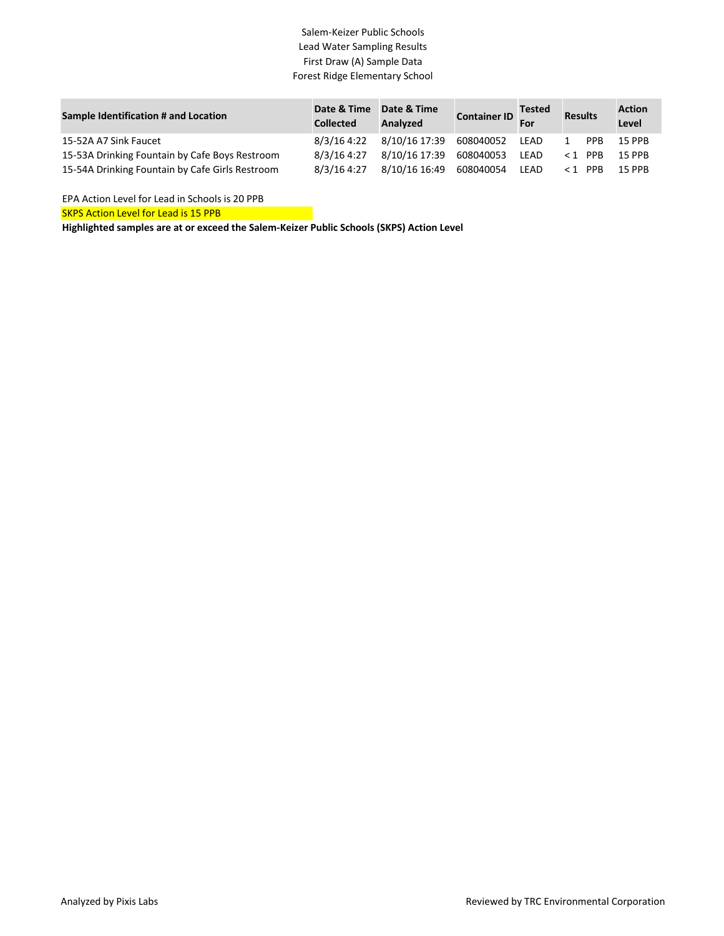## Salem-Keizer Public Schools Lead Water Sampling Results First Draw (A) Sample Data Forest Ridge Elementary School

| Sample Identification # and Location            | Date & Time<br><b>Collected</b> | Date & Time<br>Analyzed | Container ID Tested | For  | Results |            | <b>Action</b><br>Level |
|-------------------------------------------------|---------------------------------|-------------------------|---------------------|------|---------|------------|------------------------|
| 15-52A A7 Sink Faucet                           | 8/3/16 4:22                     | 8/10/16 17:39 608040052 |                     | LEAD |         | <b>PPR</b> | 15 PPB                 |
| 15-53A Drinking Fountain by Cafe Boys Restroom  | 8/3/16 4:27                     | 8/10/16 17:39 608040053 |                     | LEAD | <1 PPB  |            | <b>15 PPB</b>          |
| 15-54A Drinking Fountain by Cafe Girls Restroom | 8/3/16 4:27                     | 8/10/16 16:49 608040054 |                     | LEAD | <1 PPB  |            | <b>15 PPR</b>          |

EPA Action Level for Lead in Schools is 20 PPB

**SKPS Action Level for Lead is 15 PPB** 

**Highlighted samples are at or exceed the Salem-Keizer Public Schools (SKPS) Action Level**